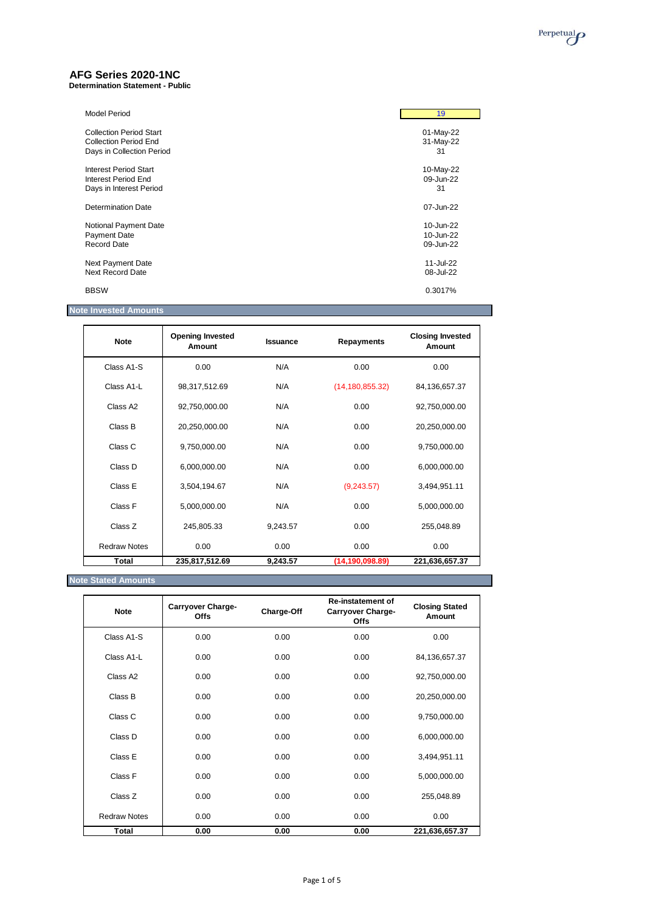# **AFG Series 2020-1NC**

**Determination Statement - Public**

| <b>Model Period</b>            | 19        |
|--------------------------------|-----------|
| <b>Collection Period Start</b> | 01-May-22 |
| Collection Period End          | 31-May-22 |
| Days in Collection Period      | 31        |
| <b>Interest Period Start</b>   | 10-May-22 |
| Interest Period End            | 09-Jun-22 |
| Days in Interest Period        | 31        |
| Determination Date             | 07-Jun-22 |
| Notional Payment Date          | 10-Jun-22 |
| <b>Payment Date</b>            | 10-Jun-22 |
| Record Date                    | 09-Jun-22 |
| Next Payment Date              | 11-Jul-22 |
| Next Record Date               | 08-Jul-22 |
| <b>BBSW</b>                    | 0.3017%   |

### **Note Invested Amounts**

| <b>Note</b>          | <b>Opening Invested</b><br>Amount | <b>Issuance</b> | Repayments        | <b>Closing Invested</b><br>Amount |
|----------------------|-----------------------------------|-----------------|-------------------|-----------------------------------|
| Class A1-S           | 0.00                              | N/A             | 0.00              | 0.00                              |
| Class A1-L           | 98,317,512.69                     | N/A             | (14, 180, 855.32) | 84,136,657.37                     |
| Class A <sub>2</sub> | 92,750,000.00                     | N/A             | 0.00              | 92,750,000.00                     |
| Class B              | 20,250,000.00                     | N/A             | 0.00              | 20,250,000.00                     |
| Class C              | 9,750,000.00                      | N/A             | 0.00              | 9,750,000.00                      |
| Class D              | 6,000,000.00                      | N/A             | 0.00              | 6,000,000.00                      |
| Class E              | 3,504,194.67                      | N/A             | (9,243.57)        | 3,494,951.11                      |
| Class F              | 5,000,000.00                      | N/A             | 0.00              | 5,000,000.00                      |
| Class Z              | 245,805.33                        | 9,243.57        | 0.00              | 255,048.89                        |
| <b>Redraw Notes</b>  | 0.00                              | 0.00            | 0.00              | 0.00                              |
| Total                | 235,817,512.69                    | 9,243.57        | (14, 190, 098.89) | 221,636,657.37                    |

**Note Stated Amounts**

| <b>Note</b>         | <b>Carryover Charge-</b><br><b>Offs</b> | Charge-Off | <b>Re-instatement of</b><br><b>Carryover Charge-</b><br><b>Offs</b> | <b>Closing Stated</b><br>Amount |
|---------------------|-----------------------------------------|------------|---------------------------------------------------------------------|---------------------------------|
| Class A1-S          | 0.00                                    | 0.00       | 0.00                                                                | 0.00                            |
| Class A1-L          | 0.00                                    | 0.00       | 0.00                                                                | 84,136,657.37                   |
| Class A2            | 0.00                                    | 0.00       | 0.00                                                                | 92,750,000.00                   |
| Class B             | 0.00                                    | 0.00       | 0.00                                                                | 20,250,000.00                   |
| Class C             | 0.00                                    | 0.00       | 0.00                                                                | 9,750,000.00                    |
| Class D             | 0.00                                    | 0.00       | 0.00                                                                | 6,000,000.00                    |
| Class E             | 0.00                                    | 0.00       | 0.00                                                                | 3,494,951.11                    |
| Class F             | 0.00                                    | 0.00       | 0.00                                                                | 5,000,000.00                    |
| Class Z             | 0.00                                    | 0.00       | 0.00                                                                | 255,048.89                      |
| <b>Redraw Notes</b> | 0.00                                    | 0.00       | 0.00                                                                | 0.00                            |
| Total               | 0.00                                    | 0.00       | 0.00                                                                | 221,636,657.37                  |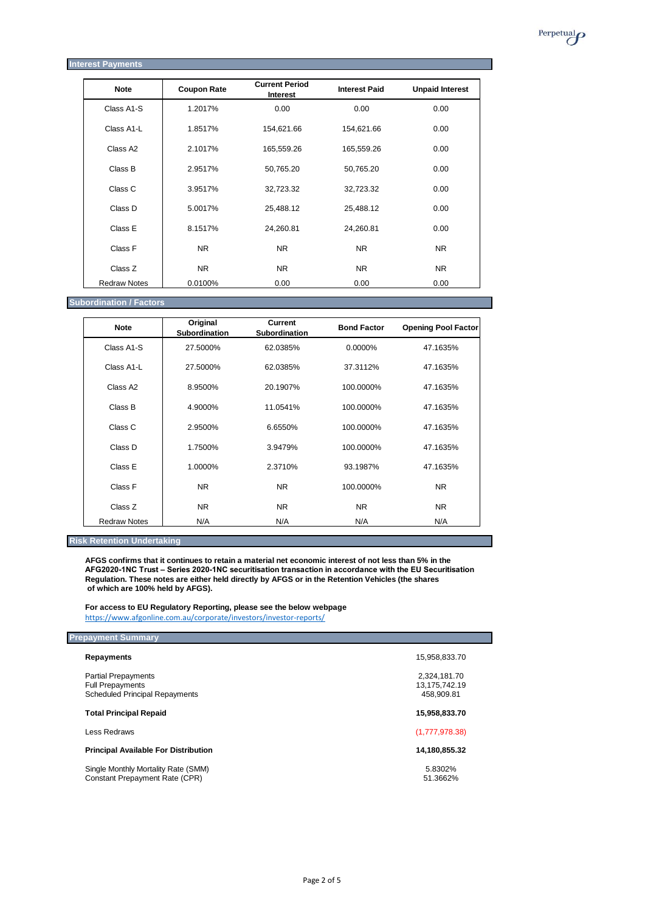

#### **Interest Payments**

| <b>Note</b>          | <b>Coupon Rate</b> | <b>Current Period</b><br><b>Interest</b> | <b>Interest Paid</b> | <b>Unpaid Interest</b> |
|----------------------|--------------------|------------------------------------------|----------------------|------------------------|
| Class A1-S           | 1.2017%            | 0.00                                     | 0.00                 | 0.00                   |
| Class A1-L           | 1.8517%            | 154,621.66                               | 154,621.66           | 0.00                   |
| Class A <sub>2</sub> | 2.1017%            | 165,559.26                               | 165,559.26           | 0.00                   |
| Class B              | 2.9517%            | 50,765.20                                | 50,765.20            | 0.00                   |
| Class C              | 3.9517%            | 32,723.32                                | 32,723.32            | 0.00                   |
| Class D              | 5.0017%            | 25,488.12                                | 25,488.12            | 0.00                   |
| Class E              | 8.1517%            | 24,260.81                                | 24,260.81            | 0.00                   |
| Class F              | <b>NR</b>          | NR.                                      | NR.                  | NR.                    |
| Class Z              | NR.                | NR.                                      | NR.                  | NR.                    |
| <b>Redraw Notes</b>  | 0.0100%            | 0.00                                     | 0.00                 | 0.00                   |

**Subordination / Factors**

| <b>Note</b>          | Original<br>Subordination | <b>Current</b><br><b>Subordination</b> | <b>Bond Factor</b> | <b>Opening Pool Factor</b> |
|----------------------|---------------------------|----------------------------------------|--------------------|----------------------------|
| Class A1-S           | 27.5000%                  | 62.0385%                               | 0.0000%            | 47.1635%                   |
| Class A1-L           | 27.5000%                  | 62.0385%                               | 37.3112%           | 47.1635%                   |
| Class A <sub>2</sub> | 8.9500%                   | 20.1907%                               | 100.0000%          | 47.1635%                   |
| Class B              | 4.9000%                   | 11.0541%                               | 100.0000%          | 47.1635%                   |
| Class C              | 2.9500%                   | 6.6550%                                | 100.0000%          | 47.1635%                   |
| Class D              | 1.7500%                   | 3.9479%                                | 100.0000%          | 47.1635%                   |
| Class E              | 1.0000%                   | 2.3710%                                | 93.1987%           | 47.1635%                   |
| Class F              | NR.                       | NR.                                    | 100.0000%          | NR.                        |
| Class Z              | NR.                       | NR.                                    | NR.                | NR.                        |
| <b>Redraw Notes</b>  | N/A                       | N/A                                    | N/A                | N/A                        |

#### **Risk Retention Undertaking**

**AFGS confirms that it continues to retain a material net economic interest of not less than 5% in the AFG2020-1NC Trust – Series 2020-1NC securitisation transaction in accordance with the EU Securitisation Regulation. These notes are either held directly by AFGS or in the Retention Vehicles (the shares of which are 100% held by AFGS).**

**For access to EU Regulatory Reporting, please see the below webpage** <https://www.afgonline.com.au/corporate/investors/investor-reports/>

#### **Prepayment Summary**

| <b>Repayments</b>                                                                              | 15,958,833.70                               |
|------------------------------------------------------------------------------------------------|---------------------------------------------|
| <b>Partial Prepayments</b><br><b>Full Prepayments</b><br><b>Scheduled Principal Repayments</b> | 2.324.181.70<br>13,175,742.19<br>458,909.81 |
| <b>Total Principal Repaid</b>                                                                  | 15,958,833.70                               |
| Less Redraws                                                                                   | (1,777,978.38)                              |
| <b>Principal Available For Distribution</b>                                                    | 14,180,855.32                               |
| Single Monthly Mortality Rate (SMM)<br>Constant Prepayment Rate (CPR)                          | 5.8302%<br>51.3662%                         |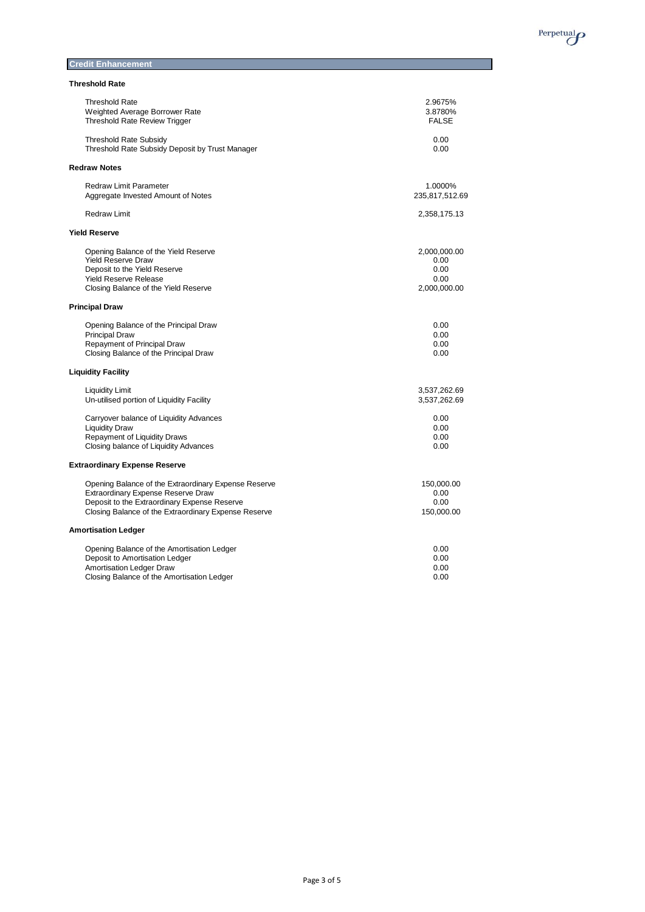

## **Credit Enhancement**

|  | <b>Threshold Rate</b> |  |  |
|--|-----------------------|--|--|
|--|-----------------------|--|--|

| <b>Threshold Rate</b>                                | 2.9675%        |
|------------------------------------------------------|----------------|
| Weighted Average Borrower Rate                       | 3.8780%        |
| <b>Threshold Rate Review Trigger</b>                 | <b>FALSE</b>   |
| <b>Threshold Rate Subsidy</b>                        | 0.00           |
| Threshold Rate Subsidy Deposit by Trust Manager      | 0.00           |
| <b>Redraw Notes</b>                                  |                |
| <b>Redraw Limit Parameter</b>                        | 1.0000%        |
| Aggregate Invested Amount of Notes                   | 235,817,512.69 |
| <b>Redraw Limit</b>                                  | 2,358,175.13   |
| <b>Yield Reserve</b>                                 |                |
| Opening Balance of the Yield Reserve                 | 2,000,000.00   |
| <b>Yield Reserve Draw</b>                            | 0.00           |
| Deposit to the Yield Reserve                         | 0.00           |
| <b>Yield Reserve Release</b>                         | 0.00           |
| Closing Balance of the Yield Reserve                 | 2,000,000.00   |
| <b>Principal Draw</b>                                |                |
| Opening Balance of the Principal Draw                | 0.00           |
| <b>Principal Draw</b>                                | 0.00           |
| Repayment of Principal Draw                          | 0.00           |
| Closing Balance of the Principal Draw                | 0.00           |
| <b>Liquidity Facility</b>                            |                |
| <b>Liquidity Limit</b>                               | 3,537,262.69   |
| Un-utilised portion of Liquidity Facility            | 3,537,262.69   |
| Carryover balance of Liquidity Advances              | 0.00           |
| <b>Liquidity Draw</b>                                | 0.00           |
| Repayment of Liquidity Draws                         | 0.00           |
| Closing balance of Liquidity Advances                | 0.00           |
| <b>Extraordinary Expense Reserve</b>                 |                |
| Opening Balance of the Extraordinary Expense Reserve | 150,000.00     |
| Extraordinary Expense Reserve Draw                   | 0.00           |
| Deposit to the Extraordinary Expense Reserve         | 0.00           |
| Closing Balance of the Extraordinary Expense Reserve | 150,000.00     |
| <b>Amortisation Ledger</b>                           |                |
| Opening Balance of the Amortisation Ledger           | 0.00           |
| Deposit to Amortisation Ledger                       | 0.00           |
| Amortisation Ledger Draw                             | 0.00           |
| Closing Balance of the Amortisation Ledger           | 0.00           |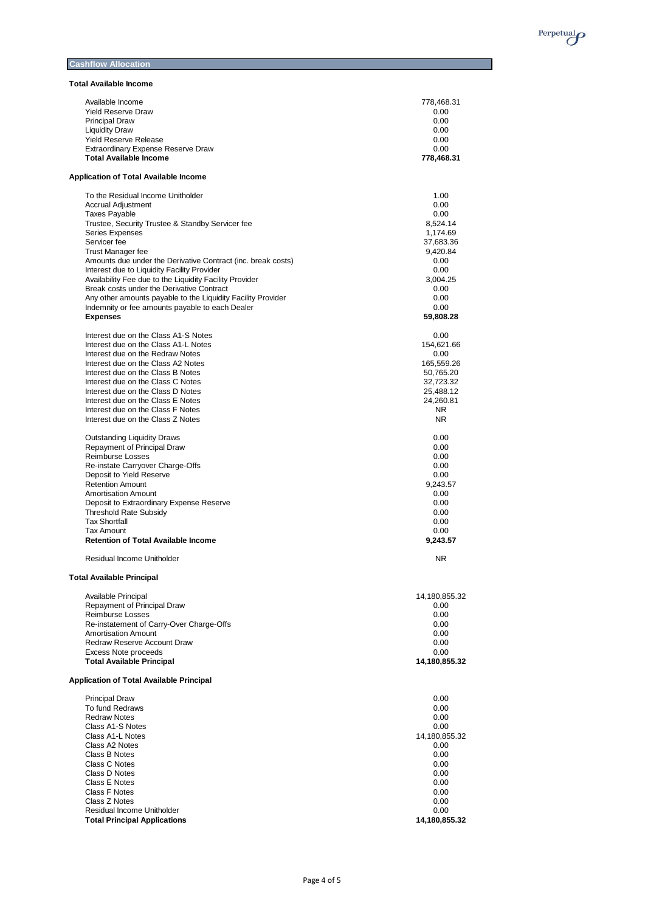

#### **Cashflow Allocation**

**Total Available Income**

| TULAI AVAIIADIE INCUNIE                                                                                     |                        |
|-------------------------------------------------------------------------------------------------------------|------------------------|
| Available Income                                                                                            | 778,468.31             |
| <b>Yield Reserve Draw</b>                                                                                   | 0.00                   |
| <b>Principal Draw</b>                                                                                       | 0.00                   |
| <b>Liquidity Draw</b>                                                                                       | 0.00                   |
| <b>Yield Reserve Release</b>                                                                                | 0.00                   |
| Extraordinary Expense Reserve Draw                                                                          | 0.00                   |
| <b>Total Available Income</b>                                                                               | 778,468.31             |
| <b>Application of Total Available Income</b>                                                                |                        |
| To the Residual Income Unitholder                                                                           | 1.00                   |
| <b>Accrual Adjustment</b>                                                                                   | 0.00                   |
| <b>Taxes Payable</b>                                                                                        | 0.00                   |
| Trustee, Security Trustee & Standby Servicer fee                                                            | 8,524.14               |
| Series Expenses                                                                                             | 1,174.69               |
| Servicer fee                                                                                                | 37.683.36              |
| <b>Trust Manager fee</b>                                                                                    | 9,420.84               |
| Amounts due under the Derivative Contract (inc. break costs)<br>Interest due to Liquidity Facility Provider | 0.00<br>0.00           |
| Availability Fee due to the Liquidity Facility Provider                                                     | 3,004.25               |
| Break costs under the Derivative Contract                                                                   | 0.00                   |
| Any other amounts payable to the Liquidity Facility Provider                                                | 0.00                   |
| Indemnity or fee amounts payable to each Dealer                                                             | 0.00                   |
| <b>Expenses</b>                                                                                             | 59,808.28              |
|                                                                                                             |                        |
| Interest due on the Class A1-S Notes                                                                        | 0.00                   |
| Interest due on the Class A1-L Notes                                                                        | 154,621.66             |
| Interest due on the Redraw Notes                                                                            | 0.00                   |
| Interest due on the Class A2 Notes                                                                          | 165,559.26             |
| Interest due on the Class B Notes                                                                           | 50.765.20              |
| Interest due on the Class C Notes                                                                           | 32,723.32              |
| Interest due on the Class D Notes<br>Interest due on the Class E Notes                                      | 25,488.12<br>24,260.81 |
| Interest due on the Class F Notes                                                                           | NR.                    |
| Interest due on the Class Z Notes                                                                           | NR.                    |
|                                                                                                             |                        |
| <b>Outstanding Liquidity Draws</b>                                                                          | 0.00                   |
| Repayment of Principal Draw                                                                                 | 0.00                   |
| Reimburse Losses                                                                                            | 0.00                   |
| Re-instate Carryover Charge-Offs                                                                            | 0.00                   |
| Deposit to Yield Reserve                                                                                    | 0.00                   |
| <b>Retention Amount</b>                                                                                     | 9,243.57               |
| <b>Amortisation Amount</b>                                                                                  | 0.00                   |
| Deposit to Extraordinary Expense Reserve                                                                    | 0.00                   |
| <b>Threshold Rate Subsidy</b>                                                                               | 0.00                   |
| <b>Tax Shortfall</b>                                                                                        | 0.00                   |
| Tax Amount<br><b>Retention of Total Available Income</b>                                                    | 0.00<br>9.243.57       |
| Residual Income Unitholder                                                                                  | NR.                    |
| <b>Total Available Principal</b>                                                                            |                        |
|                                                                                                             |                        |
| Available Principal                                                                                         | 14,180,855.32          |
| Repayment of Principal Draw                                                                                 | 0.00                   |
| Reimburse Losses                                                                                            | 0.00                   |
| Re-instatement of Carry-Over Charge-Offs                                                                    | 0.00                   |
| <b>Amortisation Amount</b>                                                                                  | 0.00                   |
| Redraw Reserve Account Draw                                                                                 | 0.00                   |
| <b>Excess Note proceeds</b>                                                                                 | 0.00                   |
| <b>Total Available Principal</b>                                                                            | 14,180,855.32          |
| <b>Application of Total Available Principal</b>                                                             |                        |
| <b>Principal Draw</b>                                                                                       | 0.00                   |
| To fund Redraws                                                                                             | 0.00                   |
| <b>Redraw Notes</b>                                                                                         | 0.00                   |
| Class A1-S Notes                                                                                            | 0.00                   |
| Class A1-L Notes                                                                                            | 14,180,855.32          |
| Class A2 Notes                                                                                              | 0.00                   |
| Class B Notes<br>Class C Notes                                                                              | 0.00<br>0.00           |
| Class D Notes                                                                                               | 0.00                   |
| Class E Notes                                                                                               | 0.00                   |
| Class F Notes                                                                                               | 0.00                   |
| Class Z Notes                                                                                               | 0.00                   |
| Residual Income Unitholder                                                                                  | 0.00                   |
| <b>Total Principal Applications</b>                                                                         | 14,180,855.32          |